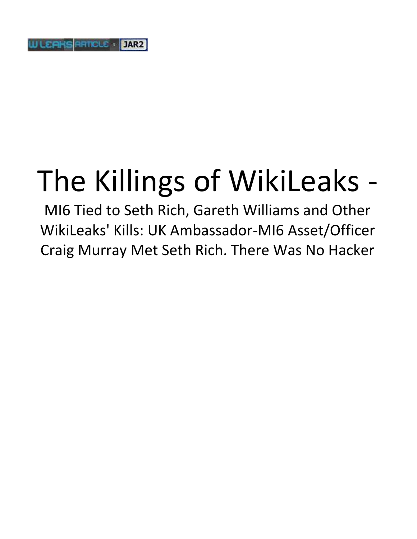## The Killings of WikiLeaks -

MI6 Tied to Seth Rich, Gareth Williams and Other WikiLeaks' Kills: UK Ambassador-MI6 Asset/Officer Craig Murray Met Seth Rich. There Was No Hacker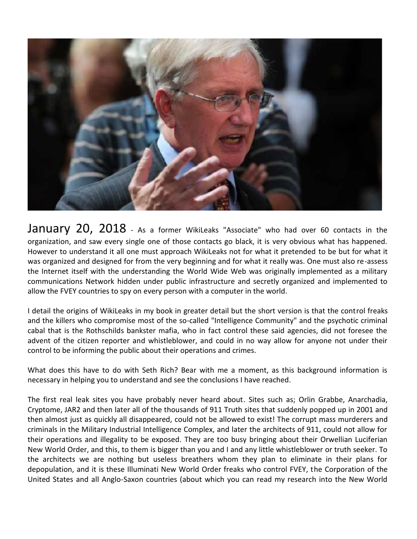

January 20, 2018 - As a former WikiLeaks "Associate" who had over 60 contacts in the organization, and saw every single one of those contacts go black, it is very obvious what has happened. However to understand it all one must approach WikiLeaks not for what it pretended to be but for what it was organized and designed for from the very beginning and for what it really was. One must also re-assess the Internet itself with the understanding the World Wide Web was originally implemented as a military communications Network hidden under public infrastructure and secretly organized and implemented to allow the FVEY countries to spy on every person with a computer in the world.

I detail the origins of WikiLeaks in my book in greater detail but the short version is that the control freaks and the killers who compromise most of the so-called "Intelligence Community" and the psychotic criminal cabal that is the Rothschilds bankster mafia, who in fact control these said agencies, did not foresee the advent of the citizen reporter and whistleblower, and could in no way allow for anyone not under their control to be informing the public about their operations and crimes.

What does this have to do with Seth Rich? Bear with me a moment, as this background information is necessary in helping you to understand and see the conclusions I have reached.

The first real leak sites you have probably never heard about. Sites such as; Orlin Grabbe, Anarchadia, Cryptome, JAR2 and then later all of the thousands of 911 Truth sites that suddenly popped up in 2001 and then almost just as quickly all disappeared, could not be allowed to exist! The corrupt mass murderers and criminals in the Military Industrial Intelligence Complex, and later the architects of 911, could not allow for their operations and illegality to be exposed. They are too busy bringing about their Orwellian Luciferian New World Order, and this, to them is bigger than you and I and any little whistleblower or truth seeker. To the architects we are nothing but useless breathers whom they plan to eliminate in their plans for depopulation, and it is these Illuminati New World Order freaks who control FVEY, the Corporation of the United States and all Anglo-Saxon countries (about which you can read my research into the New World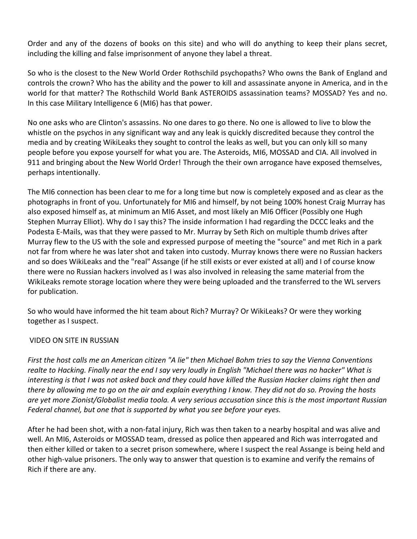Order and any of the dozens of books on this site) and who will do anything to keep their plans secret, including the killing and false imprisonment of anyone they label a threat.

So who is the closest to the New World Order Rothschild psychopaths? Who owns the Bank of England and controls the crown? Who has the ability and the power to kill and assassinate anyone in America, and in the world for that matter? The Rothschild World Bank ASTEROIDS assassination teams? MOSSAD? Yes and no. In this case Military Intelligence 6 (MI6) has that power.

No one asks who are Clinton's assassins. No one dares to go there. No one is allowed to live to blow the whistle on the psychos in any significant way and any leak is quickly discredited because they control the media and by creating WikiLeaks they sought to control the leaks as well, but you can only kill so many people before you expose yourself for what you are. The Asteroids, MI6, MOSSAD and CIA. All involved in 911 and bringing about the New World Order! Through the their own arrogance have exposed themselves, perhaps intentionally.

The MI6 connection has been clear to me for a long time but now is completely exposed and as clear as the photographs in front of you. Unfortunately for MI6 and himself, by not being 100% honest Craig Murray has also exposed himself as, at minimum an MI6 Asset, and most likely an MI6 Officer (Possibly one Hugh Stephen Murray Elliot). Why do I say this? The inside information I had regarding the DCCC leaks and the Podesta E-Mails, was that they were passed to Mr. Murray by Seth Rich on multiple thumb drives after Murray flew to the US with the sole and expressed purpose of meeting the "source" and met Rich in a park not far from where he was later shot and taken into custody. Murray knows there were no Russian hackers and so does WikiLeaks and the "real" Assange (if he still exists or ever existed at all) and I of course know there were no Russian hackers involved as I was also involved in releasing the same material from the WikiLeaks remote storage location where they were being uploaded and the transferred to the WL servers for publication.

So who would have informed the hit team about Rich? Murray? Or WikiLeaks? Or were they working together as I suspect.

## VIDEO ON SITE IN RUSSIAN

*First the host calls me an American citizen "A lie" then Michael Bohm tries to say the Vienna Conventions realte to Hacking. Finally near the end I say very loudly in English "Michael there was no hacker" What is interesting is that I was not asked back and they could have killed the Russian Hacker claims right then and there by allowing me to go on the air and explain everything I know. They did not do so. Proving the hosts are yet more Zionist/Globalist media toola. A very serious accusation since this is the most important Russian Federal channel, but one that is supported by what you see before your eyes.*

After he had been shot, with a non-fatal injury, Rich was then taken to a nearby hospital and was alive and well. An MI6, Asteroids or MOSSAD team, dressed as police then appeared and Rich was interrogated and then either killed or taken to a secret prison somewhere, where I suspect the real Assange is being held and other high-value prisoners. The only way to answer that question is to examine and verify the remains of Rich if there are any.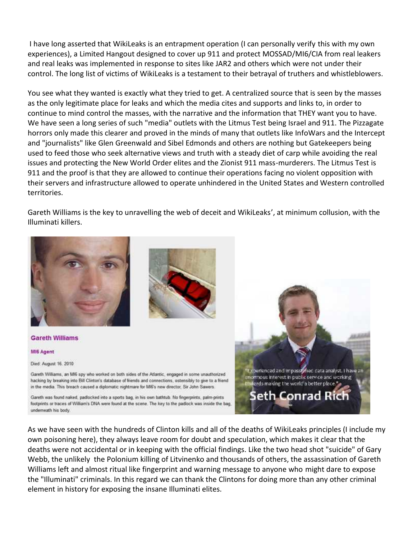I have long asserted that WikiLeaks is an entrapment operation (I can personally verify this with my own experiences), a Limited Hangout designed to cover up 911 and protect MOSSAD/MI6/CIA from real leakers and real leaks was implemented in response to sites like JAR2 and others which were not under their control. The long list of victims of WikiLeaks is a testament to their betrayal of truthers and whistleblowers.

You see what they wanted is exactly what they tried to get. A centralized source that is seen by the masses as the only legitimate place for leaks and which the media cites and supports and links to, in order to continue to mind control the masses, with the narrative and the information that THEY want you to have. We have seen a long series of such "media" outlets with the Litmus Test being Israel and 911. The Pizzagate horrors only made this clearer and proved in the minds of many that outlets like InfoWars and the Intercept and "journalists" like Glen Greenwald and Sibel Edmonds and others are nothing but Gatekeepers being used to feed those who seek alternative views and truth with a steady diet of carp while avoiding the real issues and protecting the New World Order elites and the Zionist 911 mass-murderers. The Litmus Test is 911 and the proof is that they are allowed to continue their operations facing no violent opposition with their servers and infrastructure allowed to operate unhindered in the United States and Western controlled territories.

Gareth Williams is the key to unravelling the web of deceit and WikiLeaks', at minimum collusion, with the Illuminati killers.



As we have seen with the hundreds of Clinton kills and all of the deaths of WikiLeaks principles (I include my own poisoning here), they always leave room for doubt and speculation, which makes it clear that the deaths were not accidental or in keeping with the official findings. Like the two head shot "suicide" of Gary Webb, the unlikely the Polonium killing of Litvinenko and thousands of others, the assassination of Gareth Williams left and almost ritual like fingerprint and warning message to anyone who might dare to expose the "Illuminati" criminals. In this regard we can thank the Clintons for doing more than any other criminal element in history for exposing the insane Illuminati elites.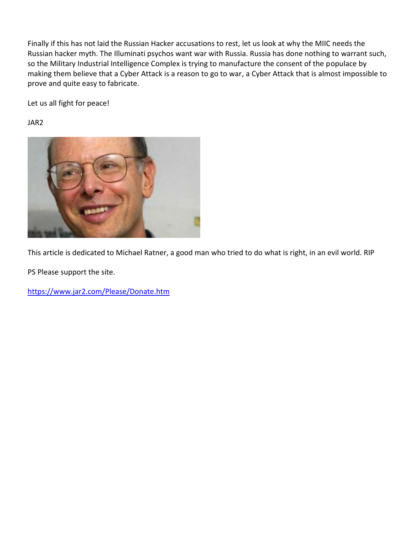Finally if this has not laid the Russian Hacker accusations to rest, let us look at why the MIIC needs the Russian hacker myth. The Illuminati psychos want war with Russia. Russia has done nothing to warrant such, so the Military Industrial Intelligence Complex is trying to manufacture the consent of the populace by making them believe that a Cyber Attack is a reason to go to war, a Cyber Attack that is almost impossible to prove and quite easy to fabricate.

Let us all fight for peace!

JAR2



This article is dedicated to Michael Ratner, a good man who tried to do what is right, in an evil world. RIP

PS Please support the site.

https://www.jar2.com/Please/Donate.htm